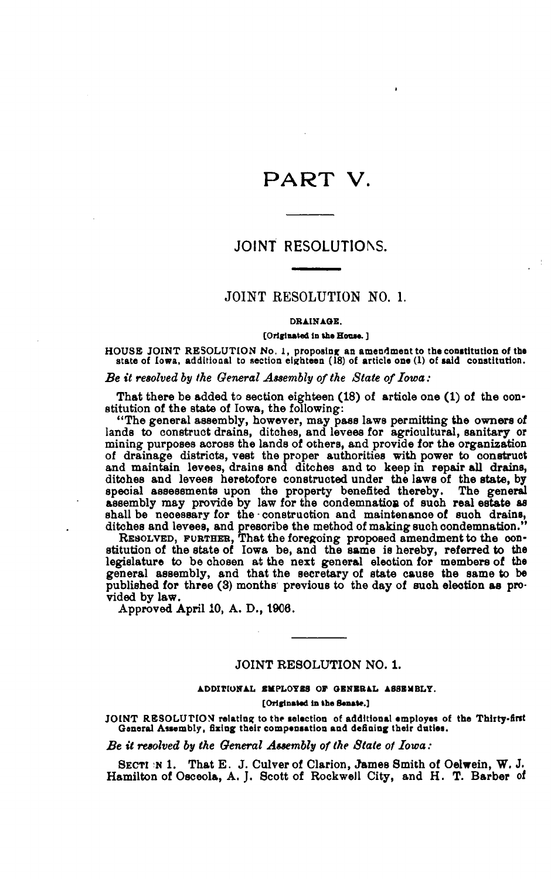# PART V.

## JOINT RESOLUTIONS.

## JOINT RESOLUTION NO. 1.

#### DRAINAGE.

#### [Originated in the House.]

HOUSE JOINT RESOLUTION No. 1, proposing an amendment to the constitution of the state of Iowa, additional to section eighteen  $(18)$  of article one  $(1)$  of said constitution.

Be it resolved by the General Assembly of the State of Iowa:

That there be added to section eighteen (18) of article one (1) of the constitution of the state of Iowa, the following:

"The general assembly, however, may pass laws permitting the owners of lands to construct drains, ditches, and levees for agricultural, sanitary or mining purposes across the lands of others, and provide for the organization of drainage districts, vest the proper authorities with power to construct and maintain levees, drains and ditches and to keep in repair all drains, ditches and levees heretofore constructed under the laws of the state, by special assessments upon the property benefited thereby. The general assembly may provide by law for the condemnation of such real estate as

shell be necessary for the construction and maintenance of such drains,<br>ditches and levees, and prescribe the method of making such condemnation."<br>RESOLVED, FURTHER, That the foregoing proposed amendment to the con-<br>stitut legislature to be chosen at the next general election for members of the general assembly, and that the secretary of state cause the same to be published for three (3) months previous to the day of such election as provided by law.

Approved April 10, A. D., 1906.

### **JOINT RESOLUTION NO. 1.**

ADDITIONAL SMPLOYES OF GENERAL ASSEMBLY. [Originated in the Senate.]

JOINT RESOLUTION relating to the selection of additional employes of the Thirty-first General Assembly, fixing their compensation and defining their duties.

Be it resolved by the General Assembly of the State of Iowa:

SECTI N 1. That E. J. Culver of Clarion, James Smith of Oelwein, W. J. Hamilton of Osceola, A. J. Scott of Rockwell City, and H. T. Barber of